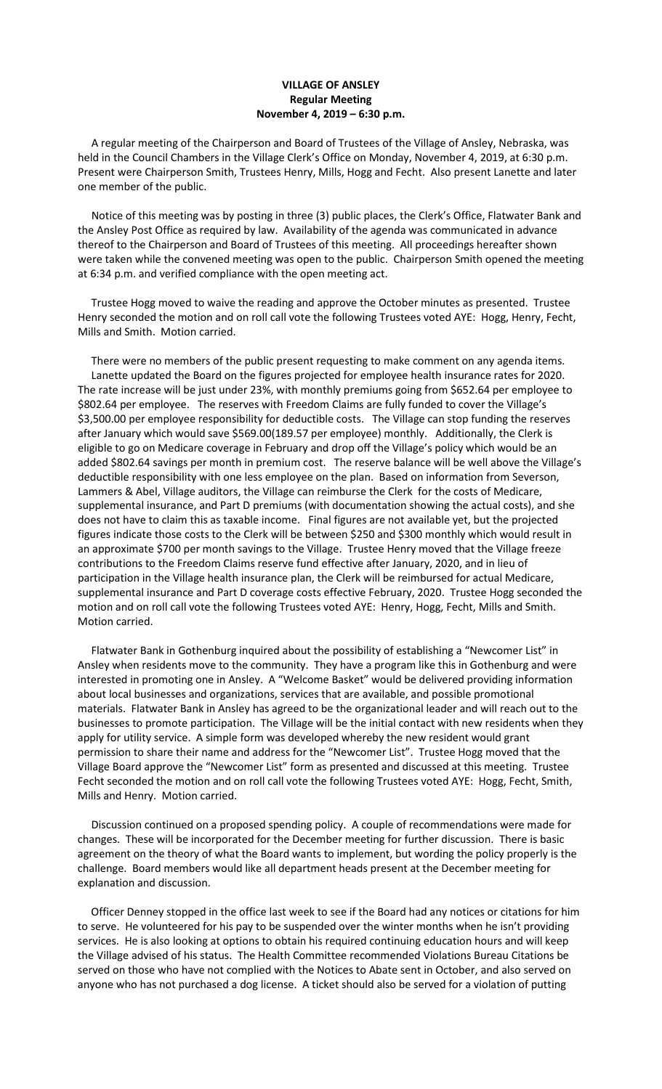## **VILLAGE OF ANSLEY Regular Meeting November 4, 2019 – 6:30 p.m.**

 A regular meeting of the Chairperson and Board of Trustees of the Village of Ansley, Nebraska, was held in the Council Chambers in the Village Clerk's Office on Monday, November 4, 2019, at 6:30 p.m. Present were Chairperson Smith, Trustees Henry, Mills, Hogg and Fecht. Also present Lanette and later one member of the public.

 Notice of this meeting was by posting in three (3) public places, the Clerk's Office, Flatwater Bank and the Ansley Post Office as required by law. Availability of the agenda was communicated in advance thereof to the Chairperson and Board of Trustees of this meeting. All proceedings hereafter shown were taken while the convened meeting was open to the public. Chairperson Smith opened the meeting at 6:34 p.m. and verified compliance with the open meeting act.

 Trustee Hogg moved to waive the reading and approve the October minutes as presented. Trustee Henry seconded the motion and on roll call vote the following Trustees voted AYE: Hogg, Henry, Fecht, Mills and Smith. Motion carried.

 There were no members of the public present requesting to make comment on any agenda items. Lanette updated the Board on the figures projected for employee health insurance rates for 2020. The rate increase will be just under 23%, with monthly premiums going from \$652.64 per employee to \$802.64 per employee. The reserves with Freedom Claims are fully funded to cover the Village's \$3,500.00 per employee responsibility for deductible costs. The Village can stop funding the reserves after January which would save \$569.00(189.57 per employee) monthly. Additionally, the Clerk is eligible to go on Medicare coverage in February and drop off the Village's policy which would be an added \$802.64 savings per month in premium cost. The reserve balance will be well above the Village's deductible responsibility with one less employee on the plan. Based on information from Severson, Lammers & Abel, Village auditors, the Village can reimburse the Clerk for the costs of Medicare, supplemental insurance, and Part D premiums (with documentation showing the actual costs), and she does not have to claim this as taxable income. Final figures are not available yet, but the projected figures indicate those costs to the Clerk will be between \$250 and \$300 monthly which would result in an approximate \$700 per month savings to the Village. Trustee Henry moved that the Village freeze contributions to the Freedom Claims reserve fund effective after January, 2020, and in lieu of participation in the Village health insurance plan, the Clerk will be reimbursed for actual Medicare, supplemental insurance and Part D coverage costs effective February, 2020. Trustee Hogg seconded the motion and on roll call vote the following Trustees voted AYE: Henry, Hogg, Fecht, Mills and Smith. Motion carried.

 Flatwater Bank in Gothenburg inquired about the possibility of establishing a "Newcomer List" in Ansley when residents move to the community. They have a program like this in Gothenburg and were interested in promoting one in Ansley. A "Welcome Basket" would be delivered providing information about local businesses and organizations, services that are available, and possible promotional materials. Flatwater Bank in Ansley has agreed to be the organizational leader and will reach out to the businesses to promote participation. The Village will be the initial contact with new residents when they apply for utility service. A simple form was developed whereby the new resident would grant permission to share their name and address for the "Newcomer List". Trustee Hogg moved that the Village Board approve the "Newcomer List" form as presented and discussed at this meeting. Trustee Fecht seconded the motion and on roll call vote the following Trustees voted AYE: Hogg, Fecht, Smith, Mills and Henry. Motion carried.

 Discussion continued on a proposed spending policy. A couple of recommendations were made for changes. These will be incorporated for the December meeting for further discussion. There is basic agreement on the theory of what the Board wants to implement, but wording the policy properly is the challenge. Board members would like all department heads present at the December meeting for explanation and discussion.

 Officer Denney stopped in the office last week to see if the Board had any notices or citations for him to serve. He volunteered for his pay to be suspended over the winter months when he isn't providing services. He is also looking at options to obtain his required continuing education hours and will keep the Village advised of his status. The Health Committee recommended Violations Bureau Citations be served on those who have not complied with the Notices to Abate sent in October, and also served on anyone who has not purchased a dog license. A ticket should also be served for a violation of putting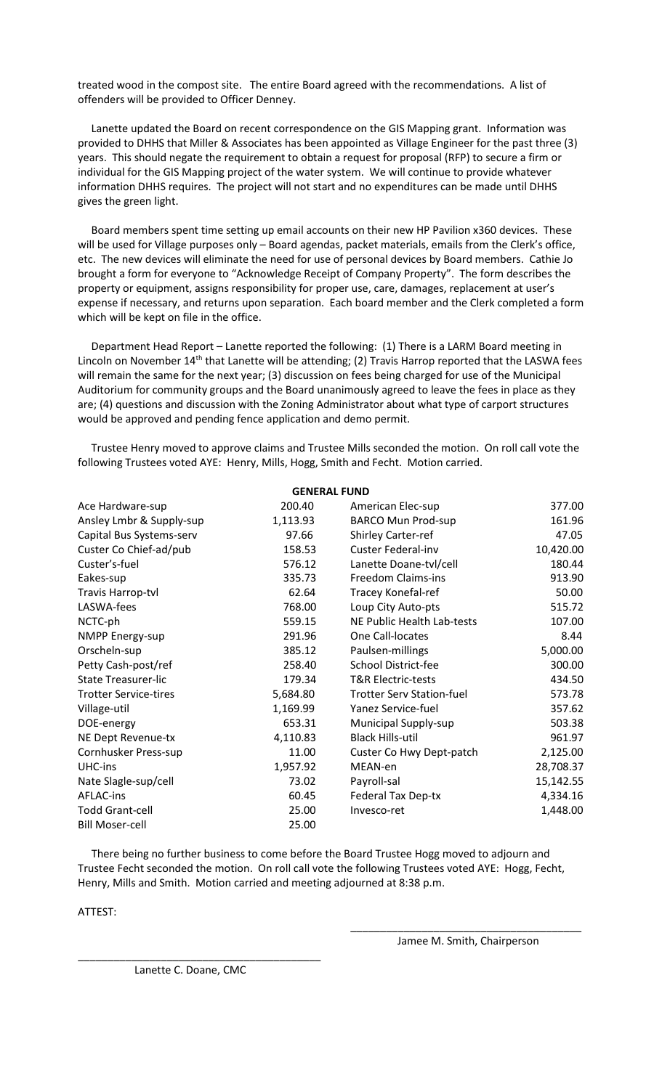treated wood in the compost site. The entire Board agreed with the recommendations. A list of offenders will be provided to Officer Denney.

 Lanette updated the Board on recent correspondence on the GIS Mapping grant. Information was provided to DHHS that Miller & Associates has been appointed as Village Engineer for the past three (3) years. This should negate the requirement to obtain a request for proposal (RFP) to secure a firm or individual for the GIS Mapping project of the water system. We will continue to provide whatever information DHHS requires. The project will not start and no expenditures can be made until DHHS gives the green light.

 Board members spent time setting up email accounts on their new HP Pavilion x360 devices. These will be used for Village purposes only - Board agendas, packet materials, emails from the Clerk's office, etc. The new devices will eliminate the need for use of personal devices by Board members. Cathie Jo brought a form for everyone to "Acknowledge Receipt of Company Property". The form describes the property or equipment, assigns responsibility for proper use, care, damages, replacement at user's expense if necessary, and returns upon separation. Each board member and the Clerk completed a form which will be kept on file in the office.

 Department Head Report – Lanette reported the following: (1) There is a LARM Board meeting in Lincoln on November 14<sup>th</sup> that Lanette will be attending; (2) Travis Harrop reported that the LASWA fees will remain the same for the next year; (3) discussion on fees being charged for use of the Municipal Auditorium for community groups and the Board unanimously agreed to leave the fees in place as they are; (4) questions and discussion with the Zoning Administrator about what type of carport structures would be approved and pending fence application and demo permit.

 Trustee Henry moved to approve claims and Trustee Mills seconded the motion. On roll call vote the following Trustees voted AYE: Henry, Mills, Hogg, Smith and Fecht. Motion carried.

| <b>GENERAL FUND</b>          |          |                                  |           |
|------------------------------|----------|----------------------------------|-----------|
| Ace Hardware-sup             | 200.40   | American Elec-sup                | 377.00    |
| Ansley Lmbr & Supply-sup     | 1,113.93 | <b>BARCO Mun Prod-sup</b>        | 161.96    |
| Capital Bus Systems-serv     | 97.66    | <b>Shirley Carter-ref</b>        | 47.05     |
| Custer Co Chief-ad/pub       | 158.53   | <b>Custer Federal-inv</b>        | 10,420.00 |
| Custer's-fuel                | 576.12   | Lanette Doane-tvl/cell           | 180.44    |
| Eakes-sup                    | 335.73   | <b>Freedom Claims-ins</b>        | 913.90    |
| Travis Harrop-tvl            | 62.64    | Tracey Konefal-ref               | 50.00     |
| LASWA-fees                   | 768.00   | Loup City Auto-pts               | 515.72    |
| NCTC-ph                      | 559.15   | NE Public Health Lab-tests       | 107.00    |
| <b>NMPP Energy-sup</b>       | 291.96   | One Call-locates                 | 8.44      |
| Orscheln-sup                 | 385.12   | Paulsen-millings                 | 5,000.00  |
| Petty Cash-post/ref          | 258.40   | School District-fee              | 300.00    |
| <b>State Treasurer-lic</b>   | 179.34   | T&R Electric-tests               | 434.50    |
| <b>Trotter Service-tires</b> | 5,684.80 | <b>Trotter Serv Station-fuel</b> | 573.78    |
| Village-util                 | 1,169.99 | Yanez Service-fuel               | 357.62    |
| DOE-energy                   | 653.31   | Municipal Supply-sup             | 503.38    |
| NE Dept Revenue-tx           | 4,110.83 | <b>Black Hills-util</b>          | 961.97    |
| Cornhusker Press-sup         | 11.00    | Custer Co Hwy Dept-patch         | 2,125.00  |
| UHC-ins                      | 1,957.92 | MEAN-en                          | 28,708.37 |
| Nate Slagle-sup/cell         | 73.02    | Payroll-sal                      | 15,142.55 |
| AFLAC-ins                    | 60.45    | <b>Federal Tax Dep-tx</b>        | 4,334.16  |
| <b>Todd Grant-cell</b>       | 25.00    | Invesco-ret                      | 1,448.00  |
| <b>Bill Moser-cell</b>       | 25.00    |                                  |           |

 There being no further business to come before the Board Trustee Hogg moved to adjourn and Trustee Fecht seconded the motion. On roll call vote the following Trustees voted AYE: Hogg, Fecht, Henry, Mills and Smith. Motion carried and meeting adjourned at 8:38 p.m.

 $\overline{\phantom{a}}$  , and the contract of the contract of the contract of the contract of the contract of the contract of the contract of the contract of the contract of the contract of the contract of the contract of the contrac

ATTEST:

Jamee M. Smith, Chairperson

\_\_\_\_\_\_\_\_\_\_\_\_\_\_\_\_\_\_\_\_\_\_\_\_\_\_\_\_\_\_\_\_\_\_\_\_\_\_\_\_\_